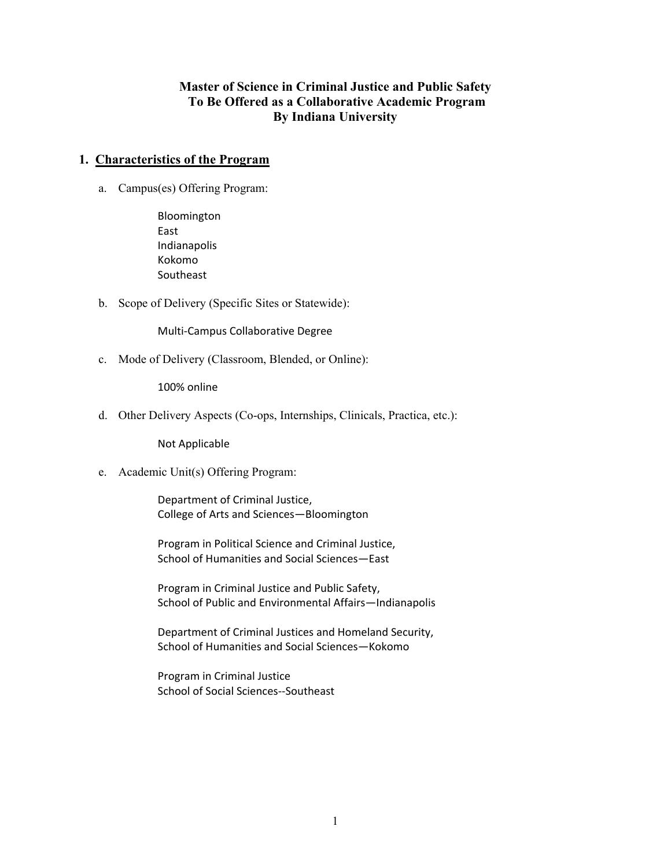## **Master of Science in Criminal Justice and Public Safety To Be Offered as a Collaborative Academic Program By Indiana University**

### **1. Characteristics of the Program**

a. Campus(es) Offering Program:

Bloomington East Indianapolis Kokomo **Southeast** 

b. Scope of Delivery (Specific Sites or Statewide):

Multi‐Campus Collaborative Degree

c. Mode of Delivery (Classroom, Blended, or Online):

100% online

d. Other Delivery Aspects (Co-ops, Internships, Clinicals, Practica, etc.):

Not Applicable

e. Academic Unit(s) Offering Program:

Department of Criminal Justice, College of Arts and Sciences—Bloomington

Program in Political Science and Criminal Justice, School of Humanities and Social Sciences—East

Program in Criminal Justice and Public Safety, School of Public and Environmental Affairs—Indianapolis

Department of Criminal Justices and Homeland Security, School of Humanities and Social Sciences—Kokomo

Program in Criminal Justice School of Social Sciences‐‐Southeast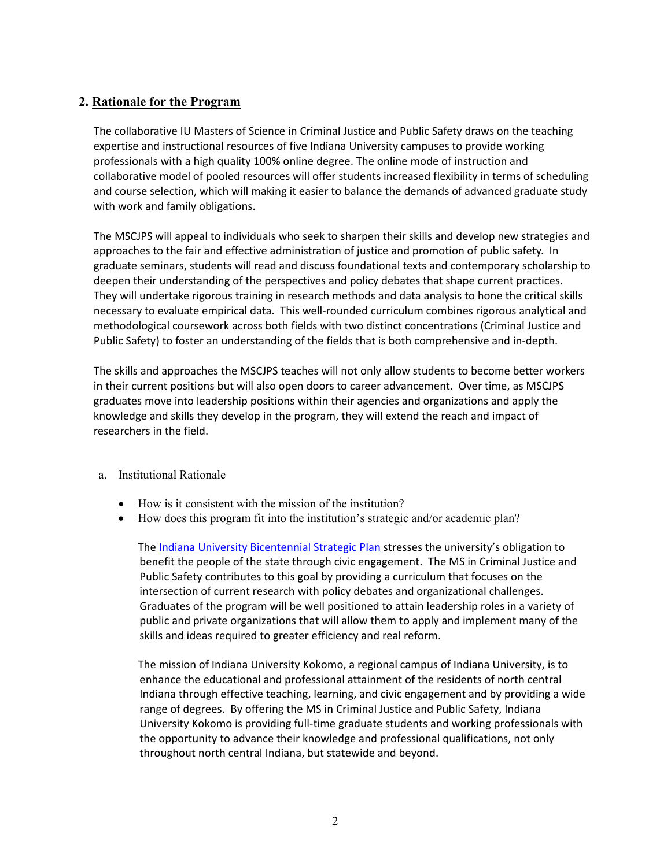## **2. Rationale for the Program**

The collaborative IU Masters of Science in Criminal Justice and Public Safety draws on the teaching expertise and instructional resources of five Indiana University campuses to provide working professionals with a high quality 100% online degree. The online mode of instruction and collaborative model of pooled resources will offer students increased flexibility in terms of scheduling and course selection, which will making it easier to balance the demands of advanced graduate study with work and family obligations.

The MSCJPS will appeal to individuals who seek to sharpen their skills and develop new strategies and approaches to the fair and effective administration of justice and promotion of public safety. In graduate seminars, students will read and discuss foundational texts and contemporary scholarship to deepen their understanding of the perspectives and policy debates that shape current practices. They will undertake rigorous training in research methods and data analysis to hone the critical skills necessary to evaluate empirical data. This well‐rounded curriculum combines rigorous analytical and methodological coursework across both fields with two distinct concentrations (Criminal Justice and Public Safety) to foster an understanding of the fields that is both comprehensive and in‐depth.

The skills and approaches the MSCJPS teaches will not only allow students to become better workers in their current positions but will also open doors to career advancement. Over time, as MSCJPS graduates move into leadership positions within their agencies and organizations and apply the knowledge and skills they develop in the program, they will extend the reach and impact of researchers in the field.

- a. Institutional Rationale
	- How is it consistent with the mission of the institution?
	- How does this program fit into the institution's strategic and/or academic plan?

The Indiana University Bicentennial Strategic Plan stresses the university's obligation to benefit the people of the state through civic engagement. The MS in Criminal Justice and Public Safety contributes to this goal by providing a curriculum that focuses on the intersection of current research with policy debates and organizational challenges. Graduates of the program will be well positioned to attain leadership roles in a variety of public and private organizations that will allow them to apply and implement many of the skills and ideas required to greater efficiency and real reform.

The mission of Indiana University Kokomo, a regional campus of Indiana University, is to enhance the educational and professional attainment of the residents of north central Indiana through effective teaching, learning, and civic engagement and by providing a wide range of degrees. By offering the MS in Criminal Justice and Public Safety, Indiana University Kokomo is providing full‐time graduate students and working professionals with the opportunity to advance their knowledge and professional qualifications, not only throughout north central Indiana, but statewide and beyond.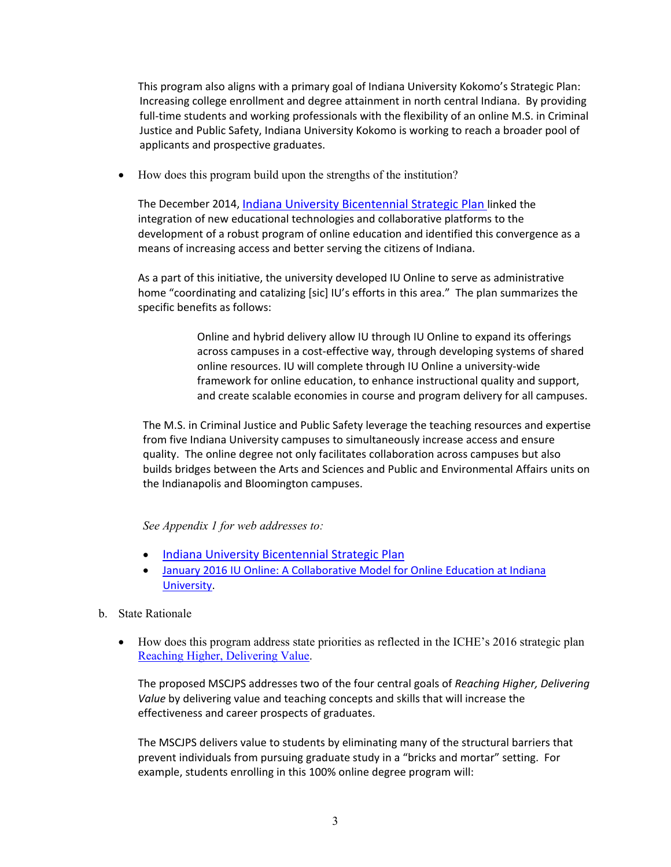This program also aligns with a primary goal of Indiana University Kokomo's Strategic Plan: Increasing college enrollment and degree attainment in north central Indiana. By providing full-time students and working professionals with the flexibility of an online M.S. in Criminal Justice and Public Safety, Indiana University Kokomo is working to reach a broader pool of applicants and prospective graduates.

• How does this program build upon the strengths of the institution?

The December 2014, Indiana University Bicentennial Strategic Plan linked the integration of new educational technologies and collaborative platforms to the development of a robust program of online education and identified this convergence as a means of increasing access and better serving the citizens of Indiana.

As a part of this initiative, the university developed IU Online to serve as administrative home "coordinating and catalizing [sic] IU's efforts in this area." The plan summarizes the specific benefits as follows:

> Online and hybrid delivery allow IU through IU Online to expand its offerings across campuses in a cost-effective way, through developing systems of shared online resources. IU will complete through IU Online a university‐wide framework for online education, to enhance instructional quality and support, and create scalable economies in course and program delivery for all campuses.

The M.S. in Criminal Justice and Public Safety leverage the teaching resources and expertise from five Indiana University campuses to simultaneously increase access and ensure quality. The online degree not only facilitates collaboration across campuses but also builds bridges between the Arts and Sciences and Public and Environmental Affairs units on the Indianapolis and Bloomington campuses.

## *See Appendix 1 for web addresses to:*

- Indiana University Bicentennial Strategic Plan
- January 2016 IU Online: A Collaborative Model for Online Education at Indiana University.
- b. State Rationale
	- How does this program address state priorities as reflected in the ICHE's 2016 strategic plan Reaching Higher, Delivering Value.

The proposed MSCJPS addresses two of the four central goals of *Reaching Higher, Delivering Value* by delivering value and teaching concepts and skills that will increase the effectiveness and career prospects of graduates.

The MSCJPS delivers value to students by eliminating many of the structural barriers that prevent individuals from pursuing graduate study in a "bricks and mortar" setting. For example, students enrolling in this 100% online degree program will: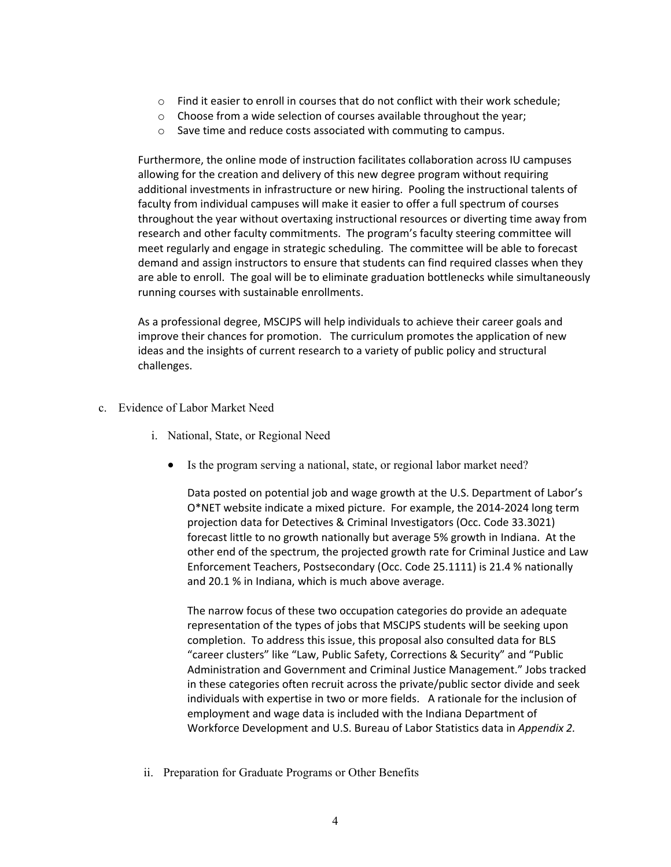- $\circ$  Find it easier to enroll in courses that do not conflict with their work schedule;
- o Choose from a wide selection of courses available throughout the year;
- o Save time and reduce costs associated with commuting to campus.

Furthermore, the online mode of instruction facilitates collaboration across IU campuses allowing for the creation and delivery of this new degree program without requiring additional investments in infrastructure or new hiring. Pooling the instructional talents of faculty from individual campuses will make it easier to offer a full spectrum of courses throughout the year without overtaxing instructional resources or diverting time away from research and other faculty commitments. The program's faculty steering committee will meet regularly and engage in strategic scheduling. The committee will be able to forecast demand and assign instructors to ensure that students can find required classes when they are able to enroll. The goal will be to eliminate graduation bottlenecks while simultaneously running courses with sustainable enrollments.

As a professional degree, MSCJPS will help individuals to achieve their career goals and improve their chances for promotion. The curriculum promotes the application of new ideas and the insights of current research to a variety of public policy and structural challenges.

- c. Evidence of Labor Market Need
	- i. National, State, or Regional Need
		- Is the program serving a national, state, or regional labor market need?

Data posted on potential job and wage growth at the U.S. Department of Labor's O\*NET website indicate a mixed picture. For example, the 2014‐2024 long term projection data for Detectives & Criminal Investigators (Occ. Code 33.3021) forecast little to no growth nationally but average 5% growth in Indiana. At the other end of the spectrum, the projected growth rate for Criminal Justice and Law Enforcement Teachers, Postsecondary (Occ. Code 25.1111) is 21.4 % nationally and 20.1 % in Indiana, which is much above average.

The narrow focus of these two occupation categories do provide an adequate representation of the types of jobs that MSCJPS students will be seeking upon completion. To address this issue, this proposal also consulted data for BLS "career clusters" like "Law, Public Safety, Corrections & Security" and "Public Administration and Government and Criminal Justice Management." Jobs tracked in these categories often recruit across the private/public sector divide and seek individuals with expertise in two or more fields. A rationale for the inclusion of employment and wage data is included with the Indiana Department of Workforce Development and U.S. Bureau of Labor Statistics data in *Appendix 2.*

ii. Preparation for Graduate Programs or Other Benefits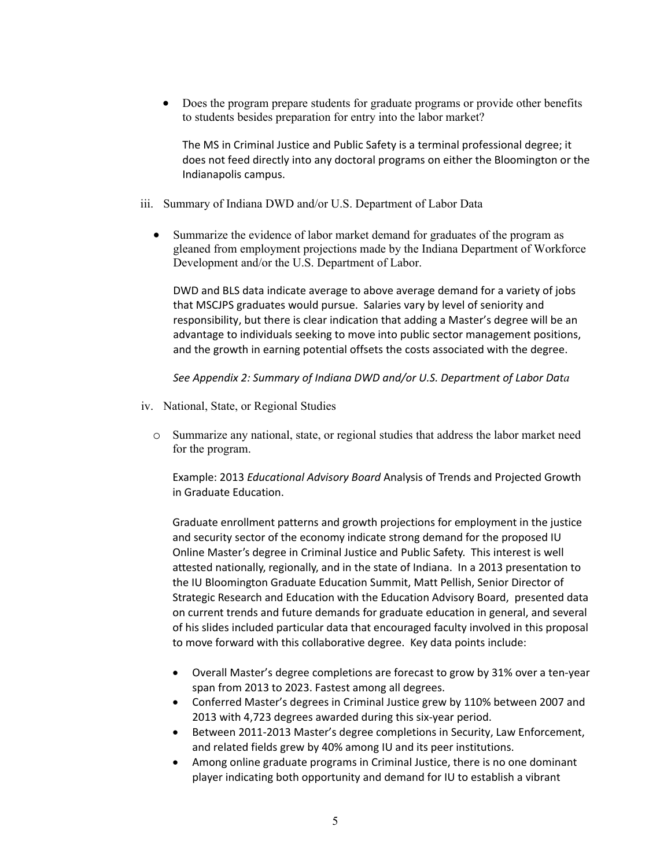Does the program prepare students for graduate programs or provide other benefits to students besides preparation for entry into the labor market?

The MS in Criminal Justice and Public Safety is a terminal professional degree; it does not feed directly into any doctoral programs on either the Bloomington or the Indianapolis campus.

- iii. Summary of Indiana DWD and/or U.S. Department of Labor Data
	- Summarize the evidence of labor market demand for graduates of the program as gleaned from employment projections made by the Indiana Department of Workforce Development and/or the U.S. Department of Labor.

DWD and BLS data indicate average to above average demand for a variety of jobs that MSCJPS graduates would pursue. Salaries vary by level of seniority and responsibility, but there is clear indication that adding a Master's degree will be an advantage to individuals seeking to move into public sector management positions, and the growth in earning potential offsets the costs associated with the degree.

*See Appendix 2: Summary of Indiana DWD and/or U.S. Department of Labor Data* 

- iv. National, State, or Regional Studies
	- o Summarize any national, state, or regional studies that address the labor market need for the program.

Example: 2013 *Educational Advisory Board* Analysis of Trends and Projected Growth in Graduate Education.

Graduate enrollment patterns and growth projections for employment in the justice and security sector of the economy indicate strong demand for the proposed IU Online Master's degree in Criminal Justice and Public Safety. This interest is well attested nationally, regionally, and in the state of Indiana. In a 2013 presentation to the IU Bloomington Graduate Education Summit, Matt Pellish, Senior Director of Strategic Research and Education with the Education Advisory Board, presented data on current trends and future demands for graduate education in general, and several of his slides included particular data that encouraged faculty involved in this proposal to move forward with this collaborative degree. Key data points include:

- Overall Master's degree completions are forecast to grow by 31% over a ten‐year span from 2013 to 2023. Fastest among all degrees.
- Conferred Master's degrees in Criminal Justice grew by 110% between 2007 and 2013 with 4,723 degrees awarded during this six‐year period.
- Between 2011-2013 Master's degree completions in Security, Law Enforcement, and related fields grew by 40% among IU and its peer institutions.
- Among online graduate programs in Criminal Justice, there is no one dominant player indicating both opportunity and demand for IU to establish a vibrant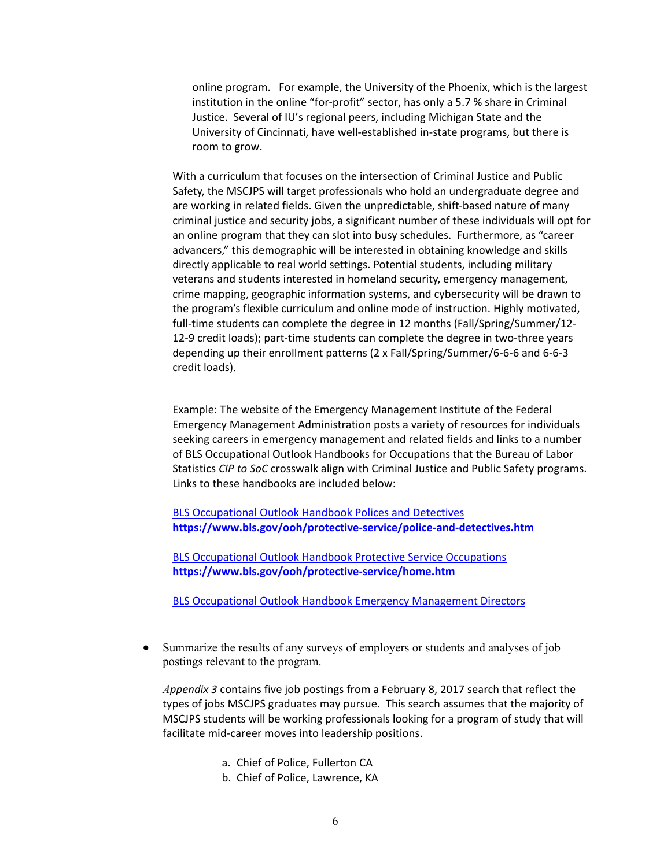online program. For example, the University of the Phoenix, which is the largest institution in the online "for-profit" sector, has only a 5.7 % share in Criminal Justice. Several of IU's regional peers, including Michigan State and the University of Cincinnati, have well‐established in‐state programs, but there is room to grow.

With a curriculum that focuses on the intersection of Criminal Justice and Public Safety, the MSCJPS will target professionals who hold an undergraduate degree and are working in related fields. Given the unpredictable, shift-based nature of many criminal justice and security jobs, a significant number of these individuals will opt for an online program that they can slot into busy schedules. Furthermore, as "career advancers," this demographic will be interested in obtaining knowledge and skills directly applicable to real world settings. Potential students, including military veterans and students interested in homeland security, emergency management, crime mapping, geographic information systems, and cybersecurity will be drawn to the program's flexible curriculum and online mode of instruction. Highly motivated, full-time students can complete the degree in 12 months (Fall/Spring/Summer/12-12-9 credit loads); part-time students can complete the degree in two-three years depending up their enrollment patterns (2 x Fall/Spring/Summer/6‐6‐6 and 6‐6‐3 credit loads).

Example: The website of the Emergency Management Institute of the Federal Emergency Management Administration posts a variety of resources for individuals seeking careers in emergency management and related fields and links to a number of BLS Occupational Outlook Handbooks for Occupations that the Bureau of Labor Statistics *CIP to SoC* crosswalk align with Criminal Justice and Public Safety programs. Links to these handbooks are included below:

BLS Occupational Outlook Handbook Polices and Detectives **https://www.bls.gov/ooh/protective‐service/police‐and‐detectives.htm**

BLS Occupational Outlook Handbook Protective Service Occupations **https://www.bls.gov/ooh/protective‐service/home.htm**

BLS Occupational Outlook Handbook Emergency Management Directors

 Summarize the results of any surveys of employers or students and analyses of job postings relevant to the program.

*Appendix 3* contains five job postings from a February 8, 2017 search that reflect the types of jobs MSCJPS graduates may pursue. This search assumes that the majority of MSCJPS students will be working professionals looking for a program of study that will facilitate mid‐career moves into leadership positions.

- a. Chief of Police, Fullerton CA
- b. Chief of Police, Lawrence, KA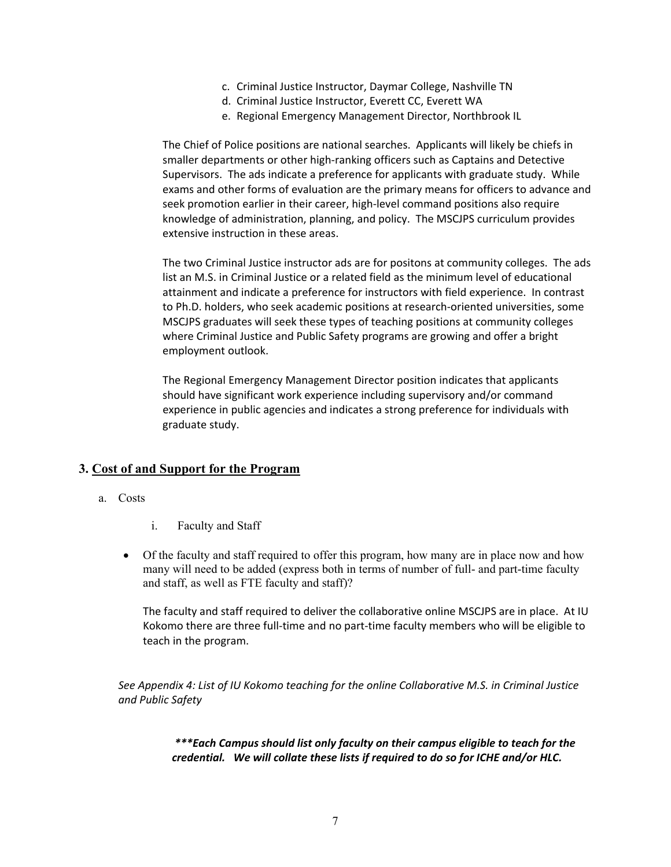- c. Criminal Justice Instructor, Daymar College, Nashville TN
- d. Criminal Justice Instructor, Everett CC, Everett WA
- e. Regional Emergency Management Director, Northbrook IL

The Chief of Police positions are national searches. Applicants will likely be chiefs in smaller departments or other high-ranking officers such as Captains and Detective Supervisors. The ads indicate a preference for applicants with graduate study. While exams and other forms of evaluation are the primary means for officers to advance and seek promotion earlier in their career, high-level command positions also require knowledge of administration, planning, and policy. The MSCJPS curriculum provides extensive instruction in these areas.

The two Criminal Justice instructor ads are for positons at community colleges. The ads list an M.S. in Criminal Justice or a related field as the minimum level of educational attainment and indicate a preference for instructors with field experience. In contrast to Ph.D. holders, who seek academic positions at research-oriented universities, some MSCJPS graduates will seek these types of teaching positions at community colleges where Criminal Justice and Public Safety programs are growing and offer a bright employment outlook.

The Regional Emergency Management Director position indicates that applicants should have significant work experience including supervisory and/or command experience in public agencies and indicates a strong preference for individuals with graduate study.

### **3. Cost of and Support for the Program**

- a. Costs
	- i. Faculty and Staff
	- Of the faculty and staff required to offer this program, how many are in place now and how many will need to be added (express both in terms of number of full- and part-time faculty and staff, as well as FTE faculty and staff)?

The faculty and staff required to deliver the collaborative online MSCJPS are in place. At IU Kokomo there are three full‐time and no part‐time faculty members who will be eligible to teach in the program.

*See Appendix 4: List of IU Kokomo teaching for the online Collaborative M.S. in Criminal Justice and Public Safety*

> *\*\*\*Each Campus should list only faculty on their campus eligible to teach for the credential. We will collate these lists if required to do so for ICHE and/or HLC.*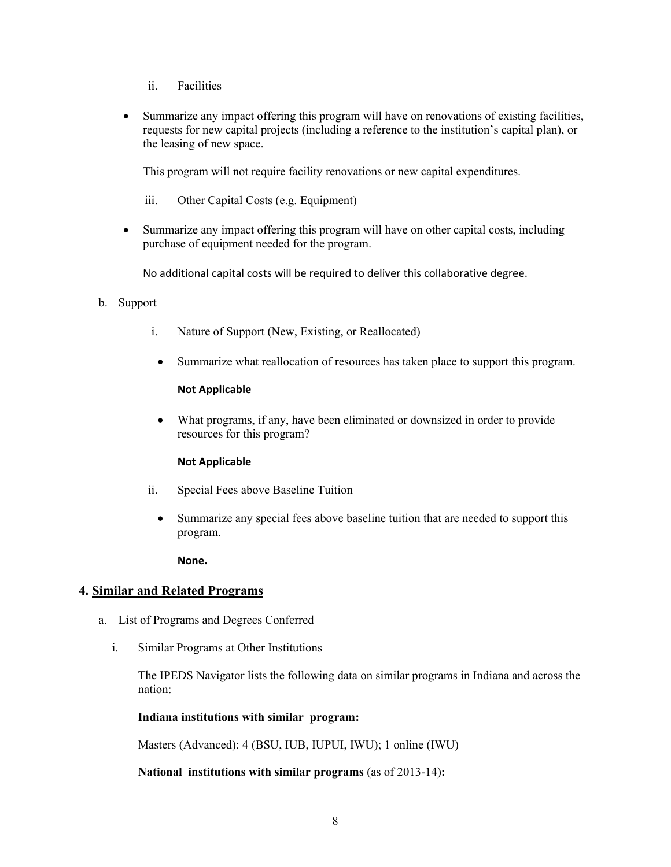- ii. Facilities
- Summarize any impact offering this program will have on renovations of existing facilities, requests for new capital projects (including a reference to the institution's capital plan), or the leasing of new space.

This program will not require facility renovations or new capital expenditures.

iii. Other Capital Costs (e.g. Equipment)

 Summarize any impact offering this program will have on other capital costs, including purchase of equipment needed for the program.

No additional capital costs will be required to deliver this collaborative degree.

- b. Support
	- i. Nature of Support (New, Existing, or Reallocated)
	- Summarize what reallocation of resources has taken place to support this program.

### **Not Applicable**

 What programs, if any, have been eliminated or downsized in order to provide resources for this program?

### **Not Applicable**

- ii. Special Fees above Baseline Tuition
	- Summarize any special fees above baseline tuition that are needed to support this program.

**None.** 

## **4. Similar and Related Programs**

- a. List of Programs and Degrees Conferred
	- i. Similar Programs at Other Institutions

The IPEDS Navigator lists the following data on similar programs in Indiana and across the nation:

### **Indiana institutions with similar program:**

Masters (Advanced): 4 (BSU, IUB, IUPUI, IWU); 1 online (IWU)

**National institutions with similar programs** (as of 2013-14)**:**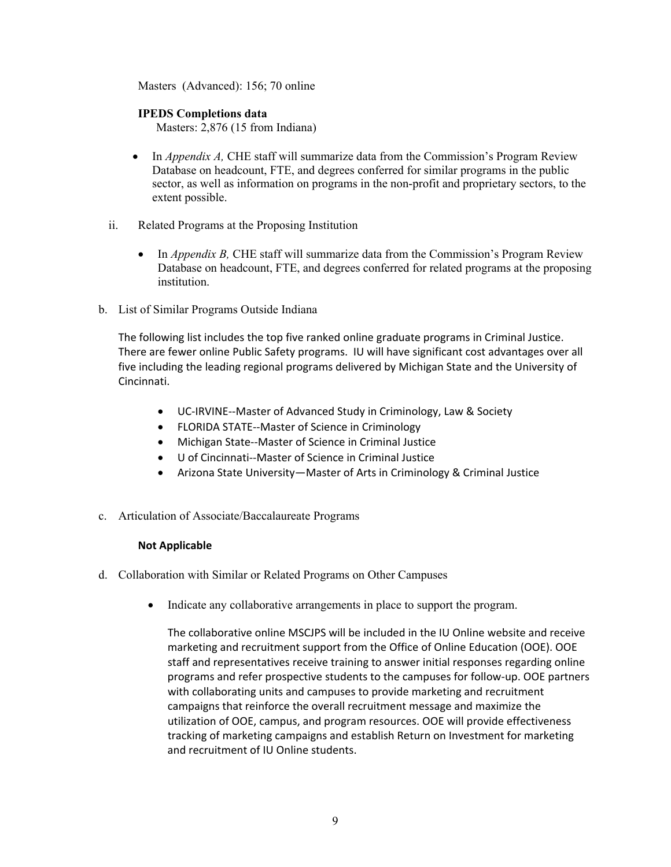Masters (Advanced): 156; 70 online

### **IPEDS Completions data**

Masters: 2,876 (15 from Indiana)

- In *Appendix A*, CHE staff will summarize data from the Commission's Program Review Database on headcount, FTE, and degrees conferred for similar programs in the public sector, as well as information on programs in the non-profit and proprietary sectors, to the extent possible.
- ii. Related Programs at the Proposing Institution
	- In *Appendix B,* CHE staff will summarize data from the Commission's Program Review Database on headcount, FTE, and degrees conferred for related programs at the proposing institution.
- b. List of Similar Programs Outside Indiana

The following list includes the top five ranked online graduate programs in Criminal Justice. There are fewer online Public Safety programs. IU will have significant cost advantages over all five including the leading regional programs delivered by Michigan State and the University of Cincinnati.

- UC-IRVINE--Master of Advanced Study in Criminology, Law & Society
- FLORIDA STATE‐‐Master of Science in Criminology
- Michigan State--Master of Science in Criminal Justice
- U of Cincinnati--Master of Science in Criminal Justice
- Arizona State University—Master of Arts in Criminology & Criminal Justice
- c. Articulation of Associate/Baccalaureate Programs

### **Not Applicable**

- d. Collaboration with Similar or Related Programs on Other Campuses
	- Indicate any collaborative arrangements in place to support the program.

The collaborative online MSCJPS will be included in the IU Online website and receive marketing and recruitment support from the Office of Online Education (OOE). OOE staff and representatives receive training to answer initial responses regarding online programs and refer prospective students to the campuses for follow‐up. OOE partners with collaborating units and campuses to provide marketing and recruitment campaigns that reinforce the overall recruitment message and maximize the utilization of OOE, campus, and program resources. OOE will provide effectiveness tracking of marketing campaigns and establish Return on Investment for marketing and recruitment of IU Online students.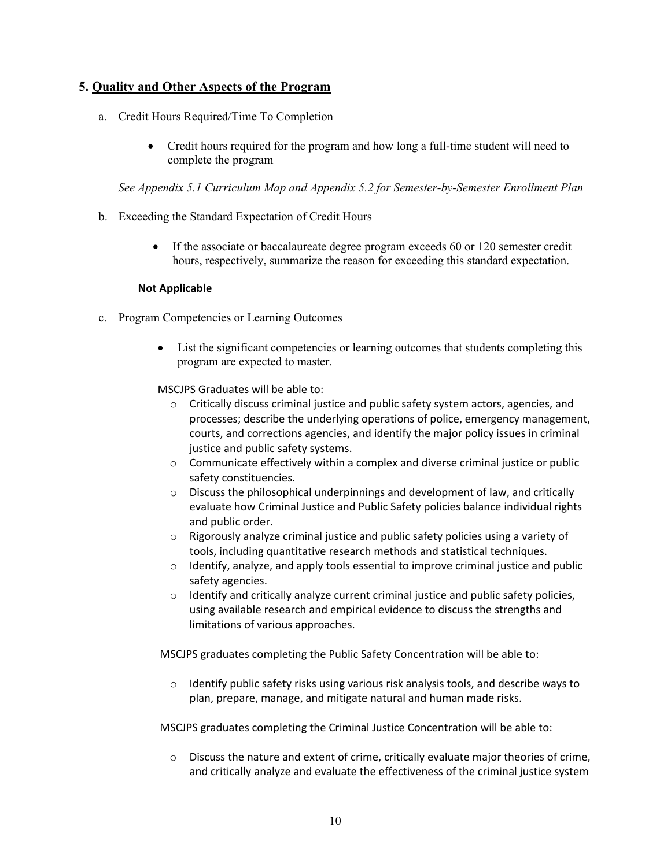## **5. Quality and Other Aspects of the Program**

- a. Credit Hours Required/Time To Completion
	- Credit hours required for the program and how long a full-time student will need to complete the program

*See Appendix 5.1 Curriculum Map and Appendix 5.2 for Semester-by-Semester Enrollment Plan* 

- b. Exceeding the Standard Expectation of Credit Hours
	- If the associate or baccalaureate degree program exceeds 60 or 120 semester credit hours, respectively, summarize the reason for exceeding this standard expectation.

### **Not Applicable**

- c. Program Competencies or Learning Outcomes
	- List the significant competencies or learning outcomes that students completing this program are expected to master.

MSCJPS Graduates will be able to:

- $\circ$  Critically discuss criminal justice and public safety system actors, agencies, and processes; describe the underlying operations of police, emergency management, courts, and corrections agencies, and identify the major policy issues in criminal justice and public safety systems.
- o Communicate effectively within a complex and diverse criminal justice or public safety constituencies.
- o Discuss the philosophical underpinnings and development of law, and critically evaluate how Criminal Justice and Public Safety policies balance individual rights and public order.
- o Rigorously analyze criminal justice and public safety policies using a variety of tools, including quantitative research methods and statistical techniques.
- $\circ$  Identify, analyze, and apply tools essential to improve criminal justice and public safety agencies.
- o Identify and critically analyze current criminal justice and public safety policies, using available research and empirical evidence to discuss the strengths and limitations of various approaches.

MSCJPS graduates completing the Public Safety Concentration will be able to:

 $\circ$  Identify public safety risks using various risk analysis tools, and describe ways to plan, prepare, manage, and mitigate natural and human made risks.

MSCJPS graduates completing the Criminal Justice Concentration will be able to:

o Discuss the nature and extent of crime, critically evaluate major theories of crime, and critically analyze and evaluate the effectiveness of the criminal justice system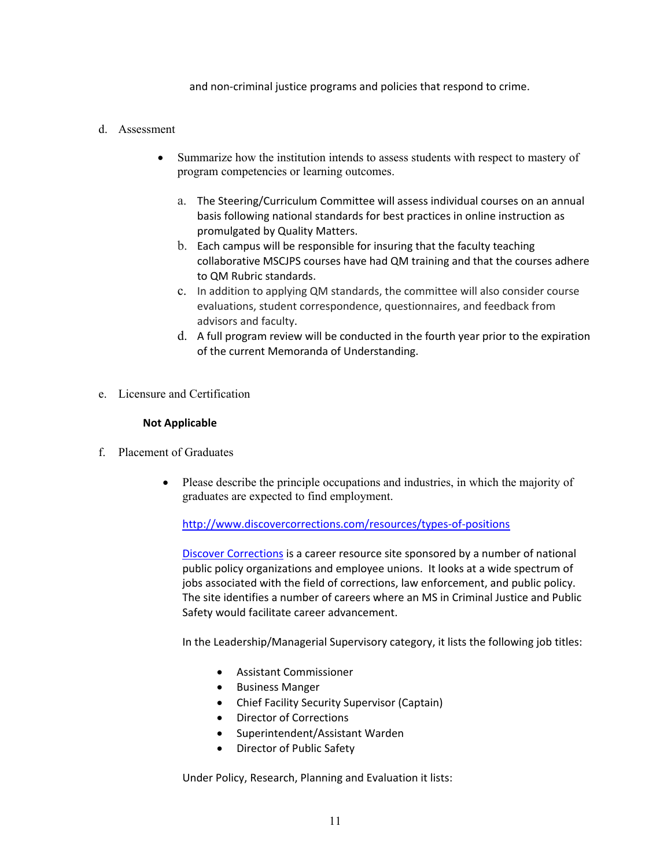and non‐criminal justice programs and policies that respond to crime.

### d. Assessment

- Summarize how the institution intends to assess students with respect to mastery of program competencies or learning outcomes.
	- a. The Steering/Curriculum Committee will assess individual courses on an annual basis following national standards for best practices in online instruction as promulgated by Quality Matters.
	- b. Each campus will be responsible for insuring that the faculty teaching collaborative MSCJPS courses have had QM training and that the courses adhere to QM Rubric standards.
	- c. In addition to applying QM standards, the committee will also consider course evaluations, student correspondence, questionnaires, and feedback from advisors and faculty.
	- d. A full program review will be conducted in the fourth year prior to the expiration of the current Memoranda of Understanding.
- e. Licensure and Certification

#### **Not Applicable**

- f. Placement of Graduates
	- Please describe the principle occupations and industries, in which the majority of graduates are expected to find employment.

http://www.discovercorrections.com/resources/types‐of‐positions

Discover Corrections is a career resource site sponsored by a number of national public policy organizations and employee unions. It looks at a wide spectrum of jobs associated with the field of corrections, law enforcement, and public policy. The site identifies a number of careers where an MS in Criminal Justice and Public Safety would facilitate career advancement.

In the Leadership/Managerial Supervisory category, it lists the following job titles:

- Assistant Commissioner
- **•** Business Manger
- Chief Facility Security Supervisor (Captain)
- Director of Corrections
- Superintendent/Assistant Warden
- Director of Public Safety

Under Policy, Research, Planning and Evaluation it lists: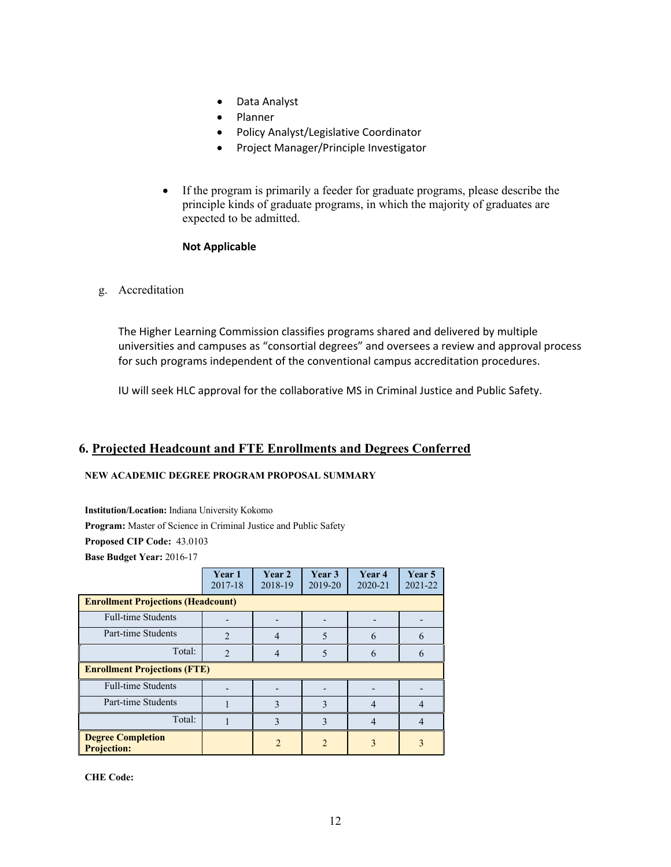- Data Analyst
- Planner
- Policy Analyst/Legislative Coordinator
- Project Manager/Principle Investigator
- If the program is primarily a feeder for graduate programs, please describe the principle kinds of graduate programs, in which the majority of graduates are expected to be admitted.

### **Not Applicable**

g. Accreditation

The Higher Learning Commission classifies programs shared and delivered by multiple universities and campuses as "consortial degrees" and oversees a review and approval process for such programs independent of the conventional campus accreditation procedures.

IU will seek HLC approval for the collaborative MS in Criminal Justice and Public Safety.

# **6. Projected Headcount and FTE Enrollments and Degrees Conferred**

#### **NEW ACADEMIC DEGREE PROGRAM PROPOSAL SUMMARY**

**Institution/Location:** Indiana University Kokomo

**Program:** Master of Science in Criminal Justice and Public Safety

**Proposed CIP Code:** 43.0103

**Base Budget Year:** 2016-17

|                                                | Year 1<br>2017-18 | Year 2<br>2018-19 | Year 3<br>2019-20 | Year 4<br>2020-21 | Year 5<br>2021-22 |
|------------------------------------------------|-------------------|-------------------|-------------------|-------------------|-------------------|
| <b>Enrollment Projections (Headcount)</b>      |                   |                   |                   |                   |                   |
| <b>Full-time Students</b>                      |                   |                   |                   |                   |                   |
| Part-time Students                             | $\mathfrak{D}$    | $\overline{4}$    | 5                 | 6                 | 6                 |
| Total:                                         | $\mathfrak{D}$    | 4                 | 5                 | 6                 | 6                 |
| <b>Enrollment Projections (FTE)</b>            |                   |                   |                   |                   |                   |
| <b>Full-time Students</b>                      |                   |                   |                   |                   |                   |
| Part-time Students                             |                   | 3                 | 3                 | 4                 | 4                 |
| Total:                                         |                   | 3                 | 3                 |                   |                   |
| <b>Degree Completion</b><br><b>Projection:</b> |                   | $\mathfrak{D}$    | $\mathfrak{D}$    | $\mathcal{E}$     | $\mathcal{E}$     |

**CHE Code:**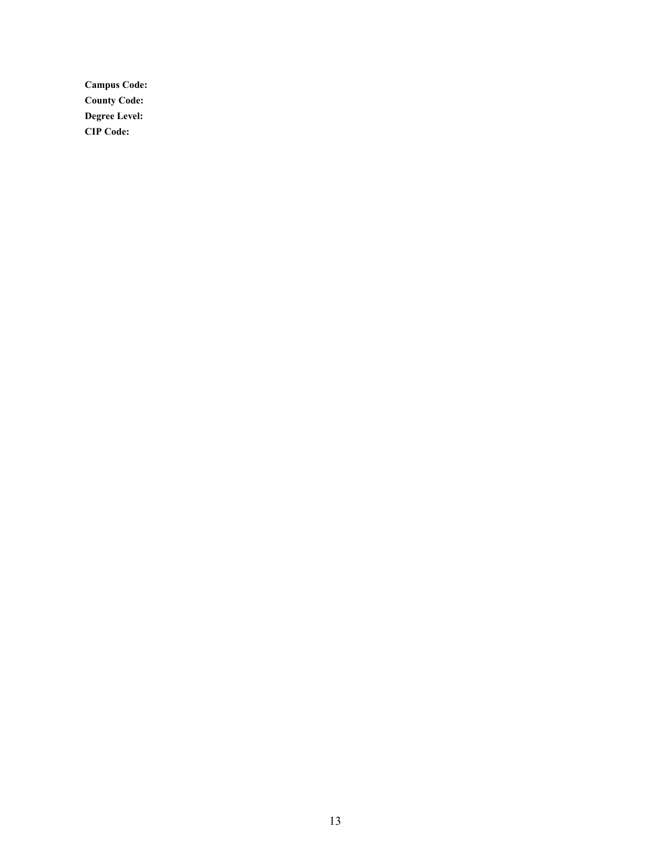**Campus Code: County Code: Degree Level: CIP Code:**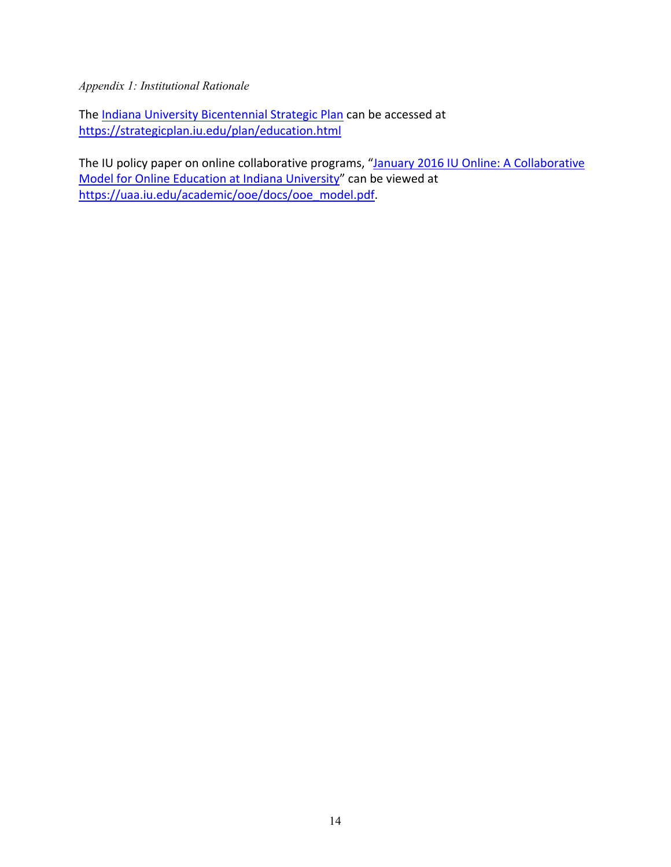*Appendix 1: Institutional Rationale*

The Indiana University Bicentennial Strategic Plan can be accessed at https://strategicplan.iu.edu/plan/education.html

The IU policy paper on online collaborative programs, "January 2016 IU Online: A Collaborative Model for Online Education at Indiana University" can be viewed at https://uaa.iu.edu/academic/ooe/docs/ooe\_model.pdf.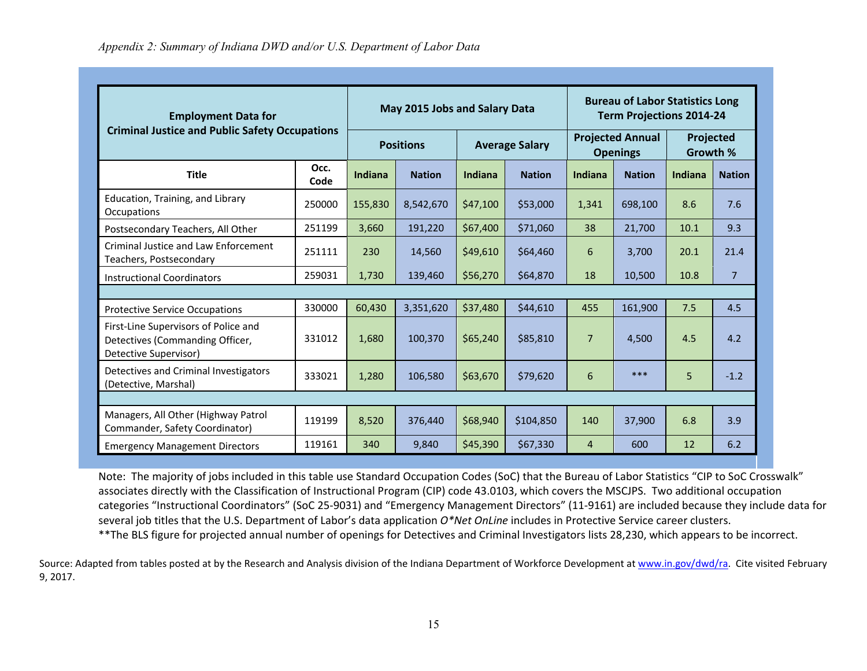| <b>Employment Data for</b><br><b>Criminal Justice and Public Safety Occupations</b>              |              | May 2015 Jobs and Salary Data |               |                       |               | <b>Bureau of Labor Statistics Long</b><br><b>Term Projections 2014-24</b> |               |                       |                |
|--------------------------------------------------------------------------------------------------|--------------|-------------------------------|---------------|-----------------------|---------------|---------------------------------------------------------------------------|---------------|-----------------------|----------------|
|                                                                                                  |              | <b>Positions</b>              |               | <b>Average Salary</b> |               | <b>Projected Annual</b><br><b>Openings</b>                                |               | Projected<br>Growth % |                |
| <b>Title</b>                                                                                     | Occ.<br>Code | Indiana                       | <b>Nation</b> | Indiana               | <b>Nation</b> | Indiana                                                                   | <b>Nation</b> | Indiana               | <b>Nation</b>  |
| Education, Training, and Library<br>Occupations                                                  | 250000       | 155,830                       | 8,542,670     | \$47,100              | \$53,000      | 1,341                                                                     | 698,100       | 8.6                   | 7.6            |
| Postsecondary Teachers, All Other                                                                | 251199       | 3,660                         | 191,220       | \$67,400              | \$71,060      | 38                                                                        | 21,700        | 10.1                  | 9.3            |
| <b>Criminal Justice and Law Enforcement</b><br>Teachers, Postsecondary                           | 251111       | 230                           | 14,560        | \$49,610              | \$64,460      | 6                                                                         | 3,700         | 20.1                  | 21.4           |
| <b>Instructional Coordinators</b>                                                                | 259031       | 1,730                         | 139,460       | \$56,270              | \$64,870      | 18                                                                        | 10,500        | 10.8                  | $\overline{7}$ |
|                                                                                                  |              |                               |               |                       |               |                                                                           |               |                       |                |
| <b>Protective Service Occupations</b>                                                            | 330000       | 60,430                        | 3,351,620     | \$37,480              | \$44,610      | 455                                                                       | 161,900       | 7.5                   | 4.5            |
| First-Line Supervisors of Police and<br>Detectives (Commanding Officer,<br>Detective Supervisor) | 331012       | 1.680                         | 100,370       | \$65,240              | \$85,810      | $\overline{7}$                                                            | 4,500         | 4.5                   | 4.2            |
| Detectives and Criminal Investigators<br>(Detective, Marshal)                                    | 333021       | 1,280                         | 106,580       | \$63,670              | \$79,620      | 6                                                                         | ***           | 5                     | $-1.2$         |
|                                                                                                  |              |                               |               |                       |               |                                                                           |               |                       |                |
| Managers, All Other (Highway Patrol<br>Commander, Safety Coordinator)                            | 119199       | 8,520                         | 376,440       | \$68,940              | \$104,850     | 140                                                                       | 37,900        | 6.8                   | 3.9            |
| <b>Emergency Management Directors</b>                                                            | 119161       | 340                           | 9.840         | \$45,390              | \$67,330      | $\overline{4}$                                                            | 600           | 12                    | 6.2            |

Note: The majority of jobs included in this table use Standard Occupation Codes (SoC) that the Bureau of Labor Statistics "CIP to SoC Crosswalk" associates directly with the Classification of Instructional Program (CIP) code 43.0103, which covers the MSCJPS. Two additional occupation categories "Instructional Coordinators" (SoC 25‐9031) and "Emergency Management Directors" (11‐9161) are included because they include data for several job titles that the U.S. Department of Labor's data application *O\*Net OnLine* includes in Protective Service career clusters. \*\*The BLS figure for projected annual number of openings for Detectives and Criminal Investigators lists 28,230, which appears to be incorrect.

Source: Adapted from tables posted at by the Research and Analysis division of the Indiana Department of Workforce Development at www.in.gov/dwd/ra. Cite visited February 9, 2017.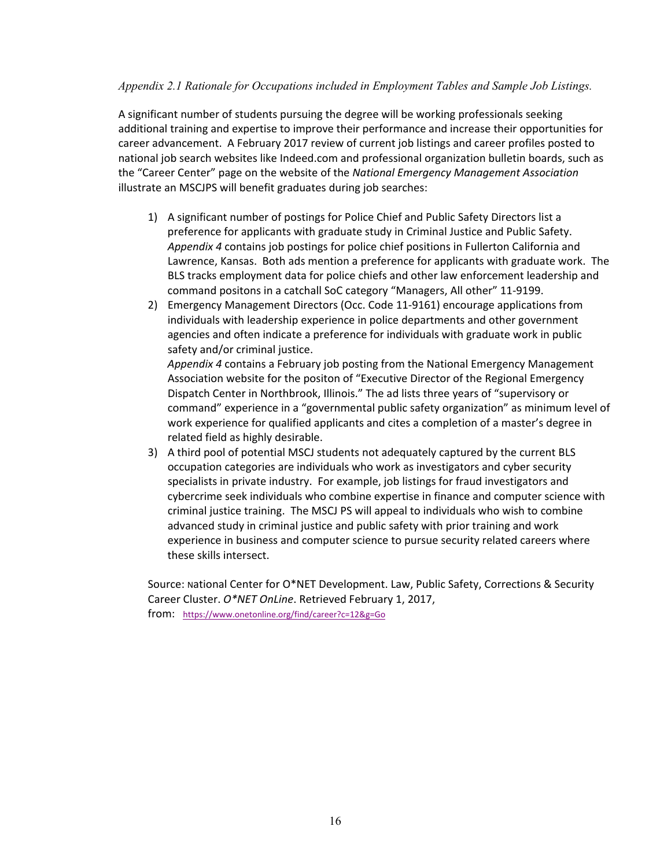### *Appendix 2.1 Rationale for Occupations included in Employment Tables and Sample Job Listings.*

A significant number of students pursuing the degree will be working professionals seeking additional training and expertise to improve their performance and increase their opportunities for career advancement. A February 2017 review of current job listings and career profiles posted to national job search websites like Indeed.com and professional organization bulletin boards, such as the "Career Center" page on the website of the *National Emergency Management Association* illustrate an MSCJPS will benefit graduates during job searches:

- 1) A significant number of postings for Police Chief and Public Safety Directors list a preference for applicants with graduate study in Criminal Justice and Public Safety. *Appendix 4* contains job postings for police chief positions in Fullerton California and Lawrence, Kansas. Both ads mention a preference for applicants with graduate work. The BLS tracks employment data for police chiefs and other law enforcement leadership and command positons in a catchall SoC category "Managers, All other" 11‐9199.
- 2) Emergency Management Directors (Occ. Code 11-9161) encourage applications from individuals with leadership experience in police departments and other government agencies and often indicate a preference for individuals with graduate work in public safety and/or criminal justice.

*Appendix 4* contains a February job posting from the National Emergency Management Association website for the positon of "Executive Director of the Regional Emergency Dispatch Center in Northbrook, Illinois." The ad lists three years of "supervisory or command" experience in a "governmental public safety organization" as minimum level of work experience for qualified applicants and cites a completion of a master's degree in related field as highly desirable.

3) A third pool of potential MSCJ students not adequately captured by the current BLS occupation categories are individuals who work as investigators and cyber security specialists in private industry. For example, job listings for fraud investigators and cybercrime seek individuals who combine expertise in finance and computer science with criminal justice training. The MSCJ PS will appeal to individuals who wish to combine advanced study in criminal justice and public safety with prior training and work experience in business and computer science to pursue security related careers where these skills intersect.

Source: national Center for O\*NET Development. Law, Public Safety, Corrections & Security Career Cluster. *O\*NET OnLine*. Retrieved February 1, 2017, from: https://www.onetonline.org/find/career?c=12&g=Go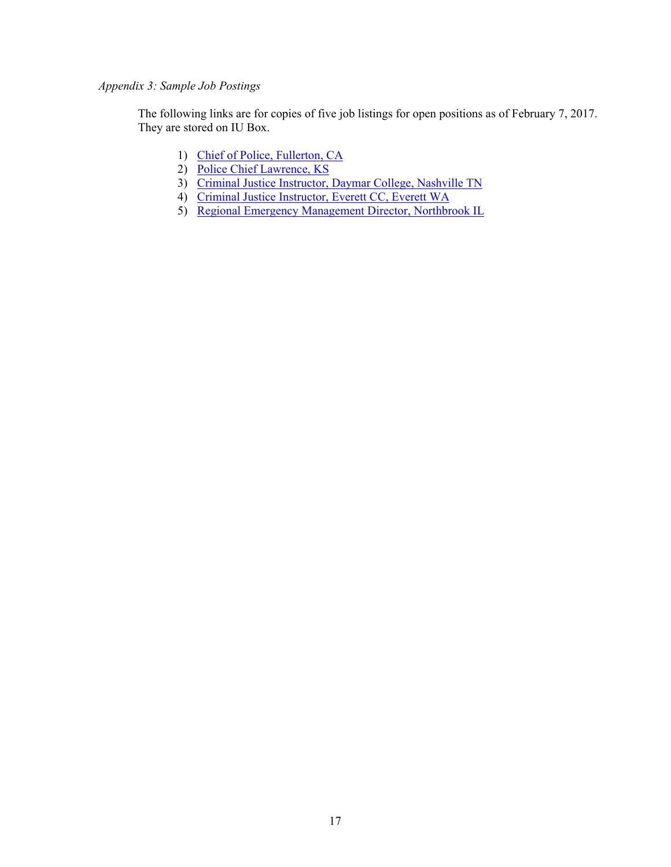# *Appendix 3: Sample Job Postings*

The following links are for copies of five job listings for open positions as of February 7, 2017. They are stored on IU Box.

- 1) Chief of Police, Fullerton, CA
- 2) Police Chief Lawrence, KS
- 3) Criminal Justice Instructor, Daymar College, Nashville TN
- 4) Criminal Justice Instructor, Everett CC, Everett WA
- 5) Regional Emergency Management Director, Northbrook IL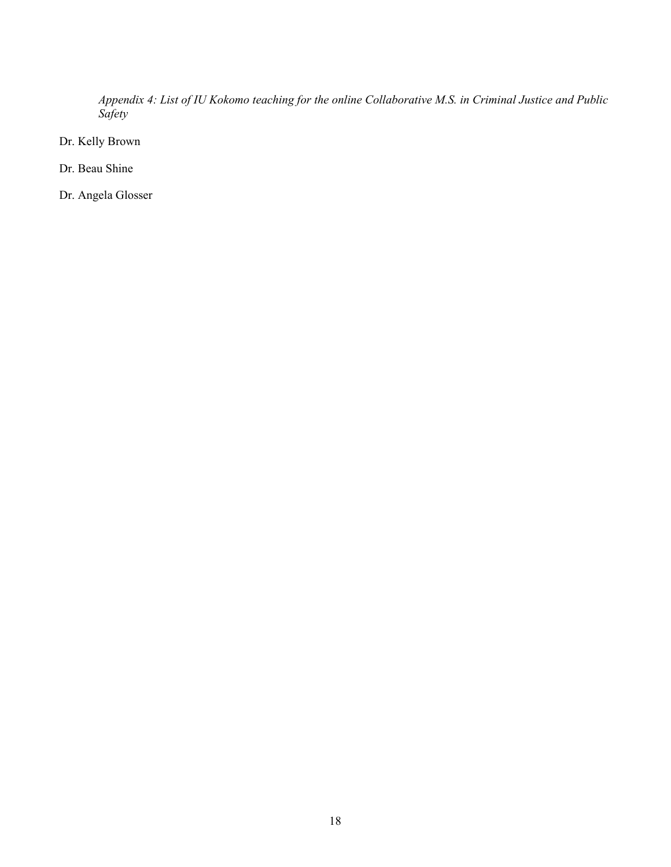*Appendix 4: List of IU Kokomo teaching for the online Collaborative M.S. in Criminal Justice and Public Safety* 

Dr. Kelly Brown

Dr. Beau Shine

Dr. Angela Glosser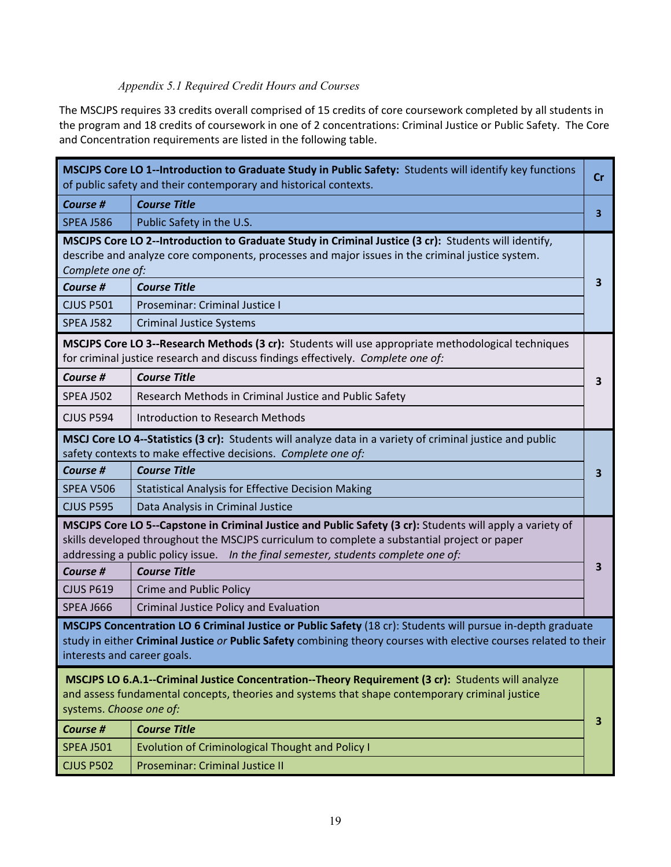# *Appendix 5.1 Required Credit Hours and Courses*

The MSCJPS requires 33 credits overall comprised of 15 credits of core coursework completed by all students in the program and 18 credits of coursework in one of 2 concentrations: Criminal Justice or Public Safety. The Core and Concentration requirements are listed in the following table.

|                             | MSCJPS Core LO 1--Introduction to Graduate Study in Public Safety: Students will identify key functions<br>of public safety and their contemporary and historical contexts.                                                                                                                     | Cr |
|-----------------------------|-------------------------------------------------------------------------------------------------------------------------------------------------------------------------------------------------------------------------------------------------------------------------------------------------|----|
| Course #                    | <b>Course Title</b>                                                                                                                                                                                                                                                                             |    |
| <b>SPEA J586</b>            | Public Safety in the U.S.                                                                                                                                                                                                                                                                       | 3  |
| Complete one of:            | MSCJPS Core LO 2--Introduction to Graduate Study in Criminal Justice (3 cr): Students will identify,<br>describe and analyze core components, processes and major issues in the criminal justice system.                                                                                        |    |
| Course #                    | <b>Course Title</b>                                                                                                                                                                                                                                                                             | 3  |
| <b>CJUS P501</b>            | Proseminar: Criminal Justice I                                                                                                                                                                                                                                                                  |    |
| <b>SPEA J582</b>            | <b>Criminal Justice Systems</b>                                                                                                                                                                                                                                                                 |    |
|                             | MSCJPS Core LO 3--Research Methods (3 cr): Students will use appropriate methodological techniques<br>for criminal justice research and discuss findings effectively. Complete one of:                                                                                                          |    |
| Course #                    | <b>Course Title</b>                                                                                                                                                                                                                                                                             | 3  |
| <b>SPEA J502</b>            | Research Methods in Criminal Justice and Public Safety                                                                                                                                                                                                                                          |    |
| <b>CJUS P594</b>            | Introduction to Research Methods                                                                                                                                                                                                                                                                |    |
|                             | MSCJ Core LO 4--Statistics (3 cr): Students will analyze data in a variety of criminal justice and public<br>safety contexts to make effective decisions. Complete one of:                                                                                                                      |    |
| Course #                    | <b>Course Title</b>                                                                                                                                                                                                                                                                             | 3  |
| SPEA V506                   | <b>Statistical Analysis for Effective Decision Making</b>                                                                                                                                                                                                                                       |    |
| <b>CJUS P595</b>            | Data Analysis in Criminal Justice                                                                                                                                                                                                                                                               |    |
|                             | MSCJPS Core LO 5--Capstone in Criminal Justice and Public Safety (3 cr): Students will apply a variety of<br>skills developed throughout the MSCJPS curriculum to complete a substantial project or paper<br>addressing a public policy issue. In the final semester, students complete one of: |    |
| Course #                    | <b>Course Title</b>                                                                                                                                                                                                                                                                             | З  |
| <b>CJUS P619</b>            | Crime and Public Policy                                                                                                                                                                                                                                                                         |    |
| <b>SPEA J666</b>            | Criminal Justice Policy and Evaluation                                                                                                                                                                                                                                                          |    |
| interests and career goals. | MSCJPS Concentration LO 6 Criminal Justice or Public Safety (18 cr): Students will pursue in-depth graduate<br>study in either Criminal Justice or Public Safety combining theory courses with elective courses related to their                                                                |    |
| systems. Choose one of:     | MSCJPS LO 6.A.1--Criminal Justice Concentration--Theory Requirement (3 cr): Students will analyze<br>and assess fundamental concepts, theories and systems that shape contemporary criminal justice                                                                                             |    |
| <b>Course #</b>             |                                                                                                                                                                                                                                                                                                 | 3  |
|                             | <b>Course Title</b>                                                                                                                                                                                                                                                                             |    |
| <b>SPEA J501</b>            | <b>Evolution of Criminological Thought and Policy I</b>                                                                                                                                                                                                                                         |    |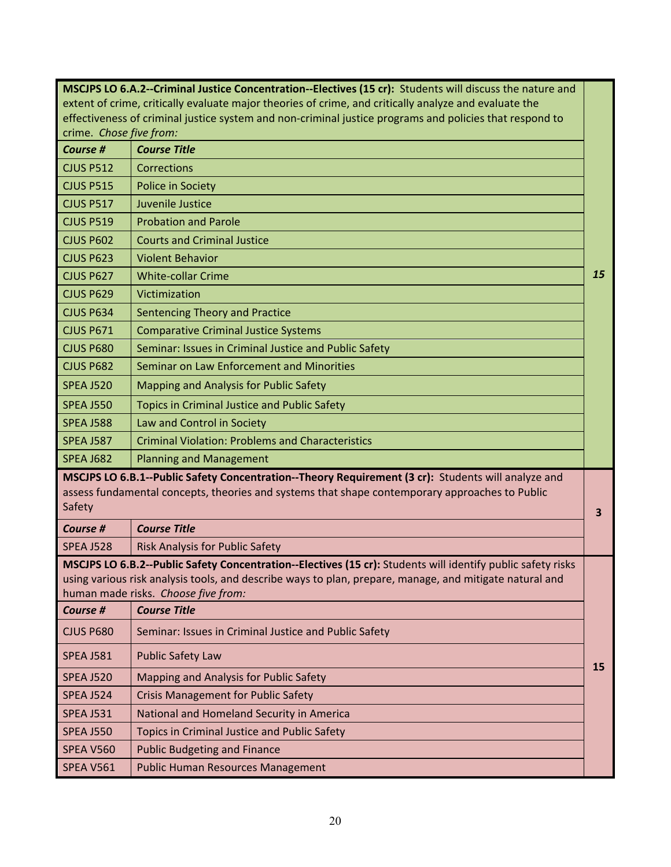|                         | MSCJPS LO 6.A.2--Criminal Justice Concentration--Electives (15 cr): Students will discuss the nature and                                                                                                                                                      |           |
|-------------------------|---------------------------------------------------------------------------------------------------------------------------------------------------------------------------------------------------------------------------------------------------------------|-----------|
|                         | extent of crime, critically evaluate major theories of crime, and critically analyze and evaluate the                                                                                                                                                         |           |
|                         | effectiveness of criminal justice system and non-criminal justice programs and policies that respond to                                                                                                                                                       |           |
| crime. Chose five from: |                                                                                                                                                                                                                                                               |           |
| Course #                | <b>Course Title</b>                                                                                                                                                                                                                                           |           |
| <b>CJUS P512</b>        | Corrections                                                                                                                                                                                                                                                   |           |
| <b>CJUS P515</b>        | Police in Society                                                                                                                                                                                                                                             |           |
| <b>CJUS P517</b>        | Juvenile Justice                                                                                                                                                                                                                                              |           |
| <b>CJUS P519</b>        | <b>Probation and Parole</b>                                                                                                                                                                                                                                   |           |
| <b>CJUS P602</b>        | <b>Courts and Criminal Justice</b>                                                                                                                                                                                                                            |           |
| <b>CJUS P623</b>        | <b>Violent Behavior</b>                                                                                                                                                                                                                                       |           |
| <b>CJUS P627</b>        | <b>White-collar Crime</b>                                                                                                                                                                                                                                     | 15        |
| <b>CJUS P629</b>        | Victimization                                                                                                                                                                                                                                                 |           |
| <b>CJUS P634</b>        | Sentencing Theory and Practice                                                                                                                                                                                                                                |           |
| <b>CJUS P671</b>        | <b>Comparative Criminal Justice Systems</b>                                                                                                                                                                                                                   |           |
| <b>CJUS P680</b>        | Seminar: Issues in Criminal Justice and Public Safety                                                                                                                                                                                                         |           |
| <b>CJUS P682</b>        | Seminar on Law Enforcement and Minorities                                                                                                                                                                                                                     |           |
| <b>SPEA J520</b>        | Mapping and Analysis for Public Safety                                                                                                                                                                                                                        |           |
| <b>SPEA J550</b>        | Topics in Criminal Justice and Public Safety                                                                                                                                                                                                                  |           |
| <b>SPEA J588</b>        | Law and Control in Society                                                                                                                                                                                                                                    |           |
| <b>SPEA J587</b>        | <b>Criminal Violation: Problems and Characteristics</b>                                                                                                                                                                                                       |           |
| <b>SPEA J682</b>        | <b>Planning and Management</b>                                                                                                                                                                                                                                |           |
| Safety                  | MSCJPS LO 6.B.1--Public Safety Concentration--Theory Requirement (3 cr): Students will analyze and<br>assess fundamental concepts, theories and systems that shape contemporary approaches to Public                                                          | 3         |
| Course #                | <b>Course Title</b>                                                                                                                                                                                                                                           |           |
| <b>SPEA J528</b>        | Risk Analysis for Public Safety                                                                                                                                                                                                                               |           |
|                         | MSCJPS LO 6.B.2--Public Safety Concentration--Electives (15 cr): Students will identify public safety risks<br>using various risk analysis tools, and describe ways to plan, prepare, manage, and mitigate natural and<br>human made risks. Choose five from: |           |
| <b>Course #</b>         | <b>Course Title</b>                                                                                                                                                                                                                                           |           |
| <b>CJUS P680</b>        | Seminar: Issues in Criminal Justice and Public Safety                                                                                                                                                                                                         |           |
| <b>SPEA J581</b>        | <b>Public Safety Law</b>                                                                                                                                                                                                                                      | <b>15</b> |
| <b>SPEA J520</b>        | Mapping and Analysis for Public Safety                                                                                                                                                                                                                        |           |
| <b>SPEA J524</b>        | <b>Crisis Management for Public Safety</b>                                                                                                                                                                                                                    |           |
| <b>SPEA J531</b>        | National and Homeland Security in America                                                                                                                                                                                                                     |           |
| <b>SPEA J550</b>        | Topics in Criminal Justice and Public Safety                                                                                                                                                                                                                  |           |
| <b>SPEA V560</b>        | <b>Public Budgeting and Finance</b>                                                                                                                                                                                                                           |           |
| <b>SPEA V561</b>        | <b>Public Human Resources Management</b>                                                                                                                                                                                                                      |           |